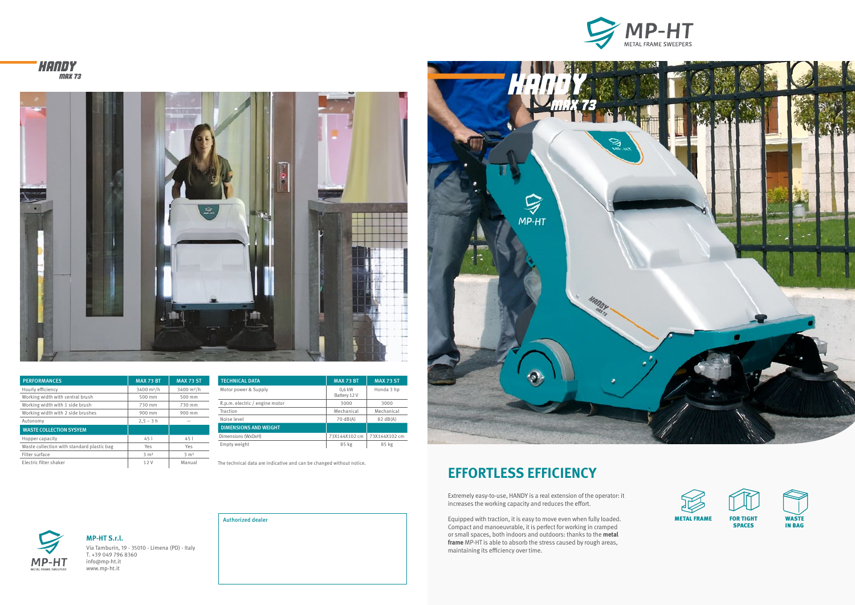





| <b>PERFORMANCES</b>                        | <b>MAX 73 BT</b>       | <b>MAX 73 ST</b>       |
|--------------------------------------------|------------------------|------------------------|
| Hourly efficiency                          | 3400 m <sup>2</sup> /h | 3400 m <sup>2</sup> /h |
| Working width with central brush           | 500 mm                 | 500 mm                 |
| Working width with 1 side brush            | 730 mm                 | 730 mm                 |
| Working width with 2 side brushes          | 900 mm                 | 900 mm                 |
| Autonomy                                   | $2.5 - 3h$             |                        |
| <b>WASTE COLLECTION SYSYEM</b>             |                        |                        |
| Hopper capacity                            | 45 l                   | 45 l                   |
| Waste collection with standard plastic bag | Yes                    | Yes                    |
| Filter surface                             | $3 \text{ m}^2$        | $3 \text{ m}^2$        |
| Electric filter shaker                     | 12V                    | Manual                 |

| <b>TECHNICAL DATA</b>          | <b>MAX 73 BT</b>       | <b>MAX 73 ST</b>   |
|--------------------------------|------------------------|--------------------|
| Motor power & Supply           | 0,6 kW<br>Battery 12 V | Honda 3 hp         |
| R.p.m. electric / engine motor | 3000                   | 3000               |
| Traction                       | Mechanical             | Mechanical         |
| Noise level                    | $70 \text{ dB(A)}$     | $82 \text{ dB(A)}$ |
| <b>DIMENSIONS AND WEIGHT</b>   |                        |                    |
| Dimensions (WxDxH)             | 73X144X102 cm          | 73X144X102 cm      |
| Empty weight                   | 85 kg                  | 85 kg              |

The technical data are indicative and can be changed without notice.



# **EFFORTLESS EFFICIENCY**

Extremely easy-to-use, HANDY is a real extension of the operator: it increases the working capacity and reduces the effort.

Equipped with traction, it is easy to move even when fully loaded. Compact and manoeuvrable, it is perfect for working in cramped or small spaces, both indoors and outdoors: thanks to the **metal frame** MP-HT is able to absorb the stress caused by rough areas, maintaining its efficiency over time.



## **MP-HT S.r.l.**  Via Tamburin, 19 - 35010 - Limena (PD) - Italy T. +39 049 796 8360 info@mp-ht.it www.mp-ht.it







Authorized dealer